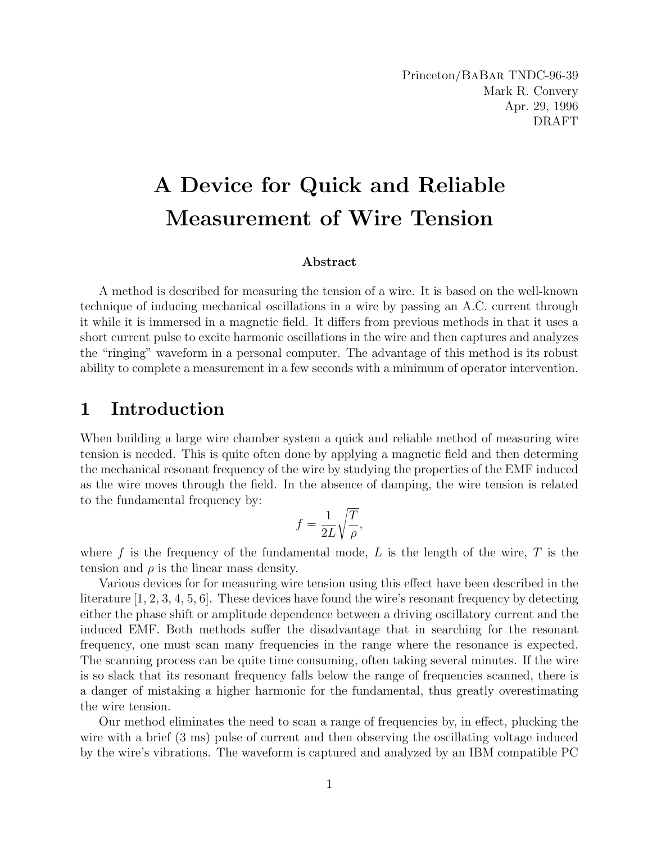Princeton/BaBar TNDC-96-39 Mark R. Convery Apr. 29, 1996 DRAFT

# A Device for Quick and Reliable Measurement of Wire Tension

#### Abstract

A method is described for measuring the tension of a wire. It is based on the well-known technique of inducing mechanical oscillations in a wire by passing an A.C. current through it while it is immersed in a magnetic field. It differs from previous methods in that it uses a short current pulse to excite harmonic oscillations in the wire and then captures and analyzes the "ringing" waveform in a personal computer. The advantage of this method is its robust ability to complete a measurement in a few seconds with a minimum of operator intervention.

#### 1 Introduction

When building a large wire chamber system a quick and reliable method of measuring wire tension is needed. This is quite often done by applying a magnetic field and then determing the mechanical resonant frequency of the wire by studying the properties of the EMF induced as the wire moves through the field. In the absence of damping, the wire tension is related to the fundamental frequency by: s

$$
f = \frac{1}{2L} \sqrt{\frac{T}{\rho}},
$$

where f is the frequency of the fundamental mode, L is the length of the wire, T is the tension and  $\rho$  is the linear mass density.

Various devices for for measuring wire tension using this effect have been described in the literature [1, 2, 3, 4, 5, 6]. These devices have found the wire's resonant frequency by detecting either the phase shift or amplitude dependence between a driving oscillatory current and the induced EMF. Both methods suffer the disadvantage that in searching for the resonant frequency, one must scan many frequencies in the range where the resonance is expected. The scanning process can be quite time consuming, often taking several minutes. If the wire is so slack that its resonant frequency falls below the range of frequencies scanned, there is a danger of mistaking a higher harmonic for the fundamental, thus greatly overestimating the wire tension.

Our method eliminates the need to scan a range of frequencies by, in effect, plucking the wire with a brief  $(3 \text{ ms})$  pulse of current and then observing the oscillating voltage induced by the wire's vibrations. The waveform is captured and analyzed by an IBM compatible PC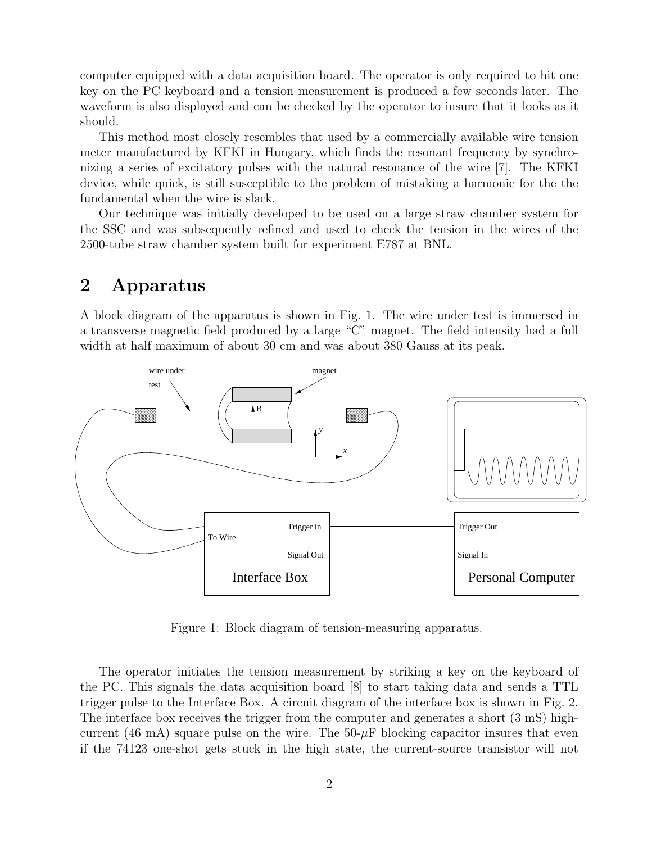computer equipped with a data acquisition board. The operator is only required to hit one key on the PC keyboard and a tension measurement is produced a few seconds later. The waveform is also displayed and can be checked by the operator to insure that it looks as it should.

This method most closely resembles that used by a commercially available wire tension meter manufactured by KFKI in Hungary, which finds the resonant frequency by synchronizing a series of excitatory pulses with the natural resonance of the wire [7]. The KFKI device, while quick, is still susceptible to the problem of mistaking a harmonic for the the fundamental when the wire is slack.

Our technique was initially developed to be used on a large straw chamber system for the SSC and was subsequently refined and used to check the tension in the wires of the 2500-tube straw chamber system built for experiment E787 at BNL.

## 2 Apparatus

A block diagram of the apparatus is shown in Fig. 1. The wire under test is immersed in a transverse magnetic field produced by a large "C" magnet. The field intensity had a full width at half maximum of about 30 cm and was about 380 Gauss at its peak.



Figure 1: Block diagram of tension-measuring apparatus.

The operator initiates the tension measurement by striking a key on the keyboard of the PC. This signals the data acquisition board [8] to start taking data and sends a TTL trigger pulse to the Interface Box. A circuit diagram of the interface box is shown in Fig. 2. The interface box receives the trigger from the computer and generates a short (3 mS) highcurrent (46 mA) square pulse on the wire. The  $50-\mu$ F blocking capacitor insures that even if the 74123 one-shot gets stuck in the high state, the current-source transistor will not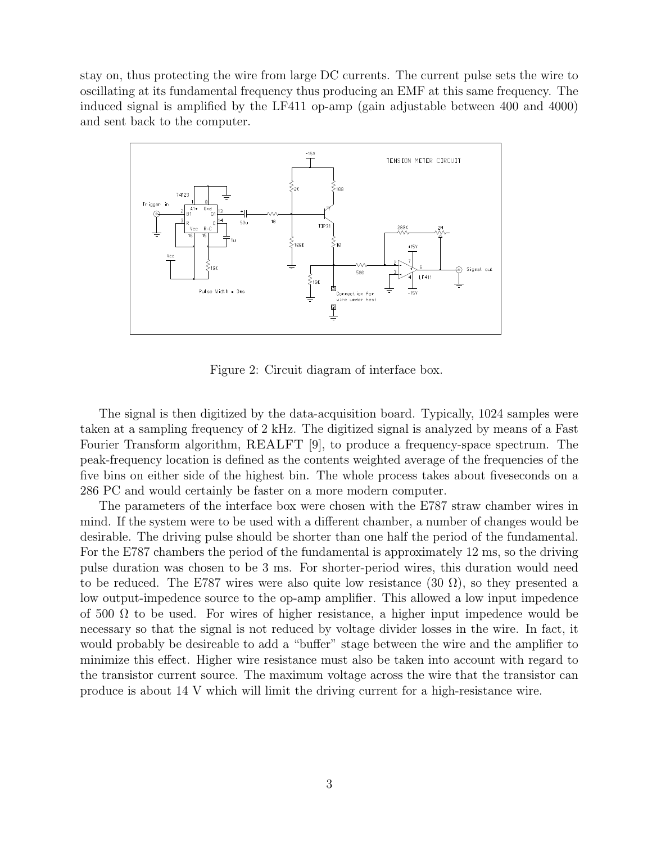stay on, thus protecting the wire from large DC currents. The current pulse sets the wire to oscillating at its fundamental frequency thus producing an EMF at this same frequency. The induced signal is amplified by the LF411 op-amp (gain adjustable between 400 and 4000) and sent back to the computer.



Figure 2: Circuit diagram of interface box.

The signal is then digitized by the data-acquisition board. Typically, 1024 samples were taken at a sampling frequency of 2 kHz. The digitized signal is analyzed by means of a Fast Fourier Transform algorithm, REALFT [9], to produce a frequency-space spectrum. The peak-frequency location is defined as the contents weighted average of the frequencies of the five bins on either side of the highest bin. The whole process takes about fiveseconds on a 286 PC and would certainly be faster on a more modern computer.

The parameters of the interface box were chosen with the E787 straw chamber wires in mind. If the system were to be used with a different chamber, a number of changes would be desirable. The driving pulse should be shorter than one half the period of the fundamental. For the E787 chambers the period of the fundamental is approximately 12 ms, so the driving pulse duration was chosen to be 3 ms. For shorter-period wires, this duration would need to be reduced. The E787 wires were also quite low resistance  $(30 \Omega)$ , so they presented a low output-impedence source to the op-amp amplifier. This allowed a low input impedence of 500  $\Omega$  to be used. For wires of higher resistance, a higher input impedence would be necessary so that the signal is not reduced by voltage divider losses in the wire. In fact, it would probably be desireable to add a "buffer" stage between the wire and the amplifier to minimize this effect. Higher wire resistance must also be taken into account with regard to the transistor current source. The maximum voltage across the wire that the transistor can produce is about 14 V which will limit the driving current for a high-resistance wire.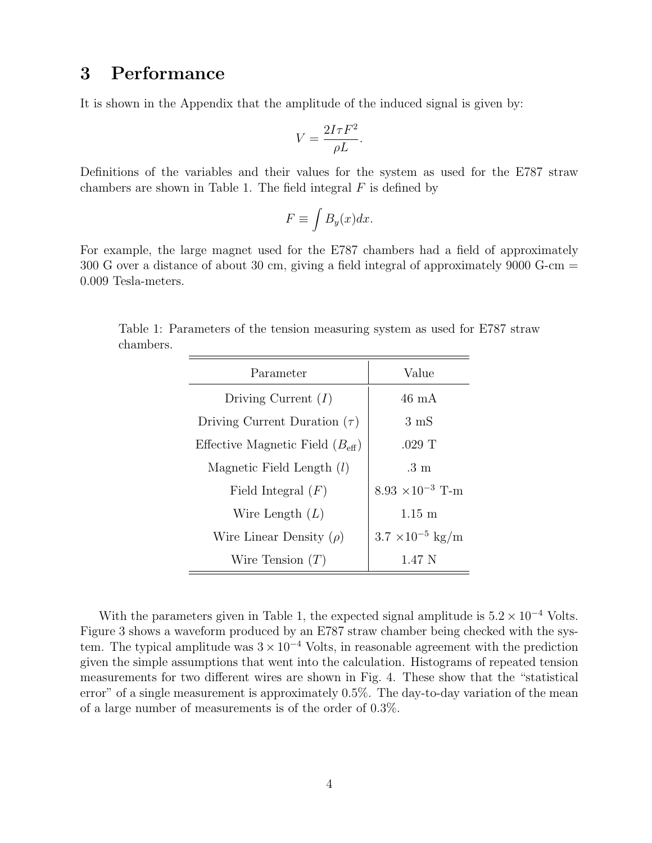# 3 Performance

It is shown in the Appendix that the amplitude of the induced signal is given by:

$$
V = \frac{2I\tau F^2}{\rho L}.
$$

Definitions of the variables and their values for the system as used for the E787 straw chambers are shown in Table 1. The field integral  $F$  is defined by

$$
F \equiv \int B_y(x) dx.
$$

For example, the large magnet used for the E787 chambers had a field of approximately 300 G over a distance of about 30 cm, giving a field integral of approximately 9000 G-cm = 0.009 Tesla-meters.

Table 1: Parameters of the tension measuring system as used for E787 straw chambers.

| Parameter                                   | Value                             |
|---------------------------------------------|-----------------------------------|
| Driving Current $(I)$                       | $46 \text{ mA}$                   |
| Driving Current Duration $(\tau)$           | $3 \text{ mS}$                    |
| Effective Magnetic Field $(B_{\text{eff}})$ | $.029$ T                          |
| Magnetic Field Length $(l)$                 | $.3 \text{ m}$                    |
| Field Integral $(F)$                        | $8.93 \times 10^{-3}$ T-m         |
| Wire Length $(L)$                           | $1.15 \text{ m}$                  |
| Wire Linear Density $(\rho)$                | $3.7 \times 10^{-5} \text{ kg/m}$ |
| Wire Tension $(T)$                          | 1.47 N                            |

With the parameters given in Table 1, the expected signal amplitude is  $5.2 \times 10^{-4}$  Volts. Figure 3 shows a waveform produced by an E787 straw chamber being checked with the system. The typical amplitude was  $3 \times 10^{-4}$  Volts, in reasonable agreement with the prediction given the simple assumptions that went into the calculation. Histograms of repeated tension measurements for two different wires are shown in Fig. 4. These show that the "statistical error" of a single measurement is approximately 0.5%. The day-to-day variation of the mean of a large number of measurements is of the order of 0.3%.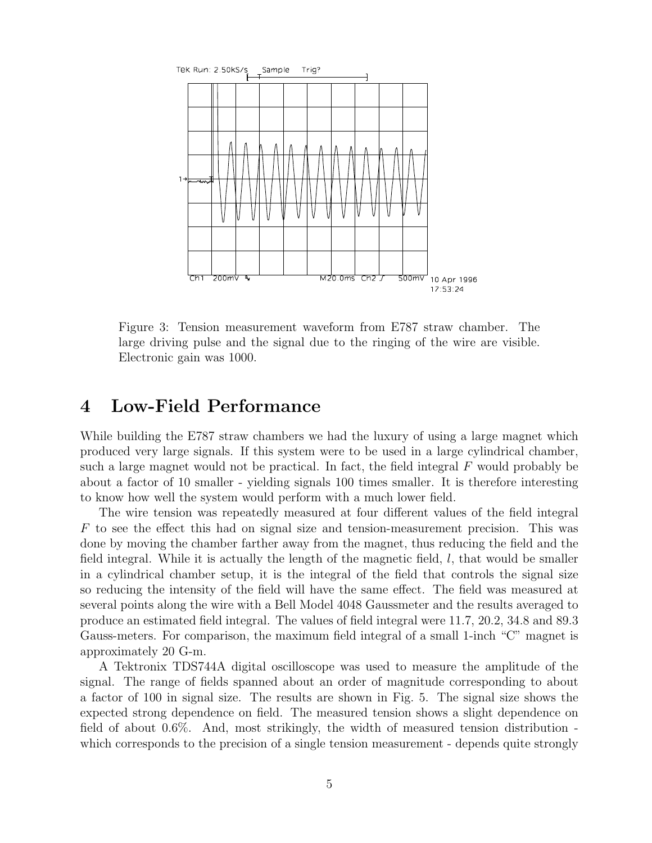

Figure 3: Tension measurement waveform from E787 straw chamber. The large driving pulse and the signal due to the ringing of the wire are visible. Electronic gain was 1000.

#### 4 Low-Field Performance

While building the E787 straw chambers we had the luxury of using a large magnet which produced very large signals. If this system were to be used in a large cylindrical chamber, such a large magnet would not be practical. In fact, the field integral  $F$  would probably be about a factor of 10 smaller - yielding signals 100 times smaller. It is therefore interesting to know how well the system would perform with a much lower field.

The wire tension was repeatedly measured at four different values of the field integral  $F$  to see the effect this had on signal size and tension-measurement precision. This was done by moving the chamber farther away from the magnet, thus reducing the field and the field integral. While it is actually the length of the magnetic field,  $l$ , that would be smaller in a cylindrical chamber setup, it is the integral of the field that controls the signal size so reducing the intensity of the field will have the same effect. The field was measured at several points along the wire with a Bell Model 4048 Gaussmeter and the results averaged to produce an estimated field integral. The values of field integral were 11.7, 20.2, 34.8 and 89.3 Gauss-meters. For comparison, the maximum field integral of a small 1-inch "C" magnet is approximately 20 G-m.

A Tektronix TDS744A digital oscilloscope was used to measure the amplitude of the signal. The range of fields spanned about an order of magnitude corresponding to about a factor of 100 in signal size. The results are shown in Fig. 5. The signal size shows the expected strong dependence on field. The measured tension shows a slight dependence on field of about 0.6%. And, most strikingly, the width of measured tension distribution which corresponds to the precision of a single tension measurement - depends quite strongly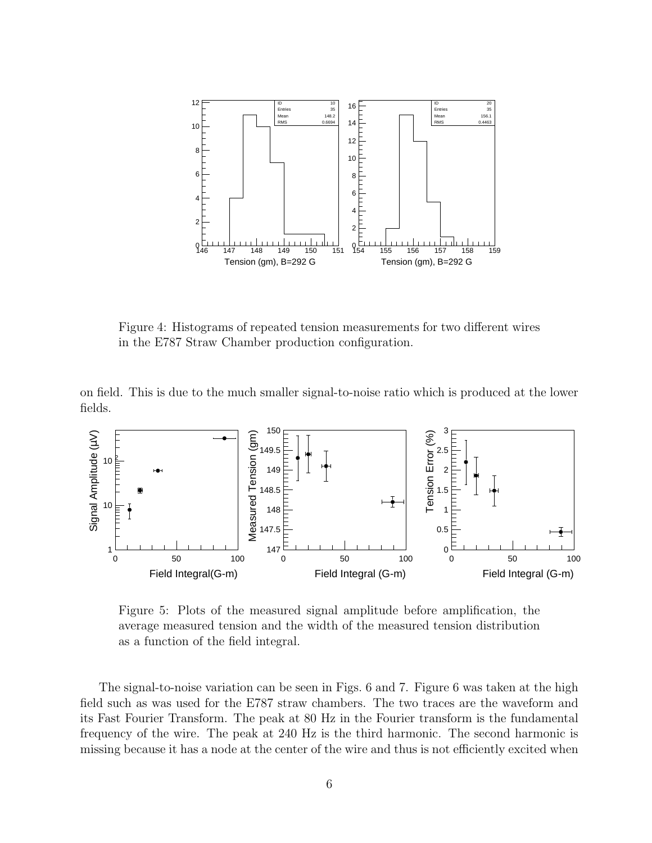

Figure 4: Histograms of repeated tension measurements for two different wires in the E787 Straw Chamber production configuration.

on field. This is due to the much smaller signal-to-noise ratio which is produced at the lower fields.



Figure 5: Plots of the measured signal amplitude before amplification, the average measured tension and the width of the measured tension distribution as a function of the field integral.

The signal-to-noise variation can be seen in Figs. 6 and 7. Figure 6 was taken at the high field such as was used for the E787 straw chambers. The two traces are the waveform and its Fast Fourier Transform. The peak at 80 Hz in the Fourier transform is the fundamental frequency of the wire. The peak at 240 Hz is the third harmonic. The second harmonic is missing because it has a node at the center of the wire and thus is not efficiently excited when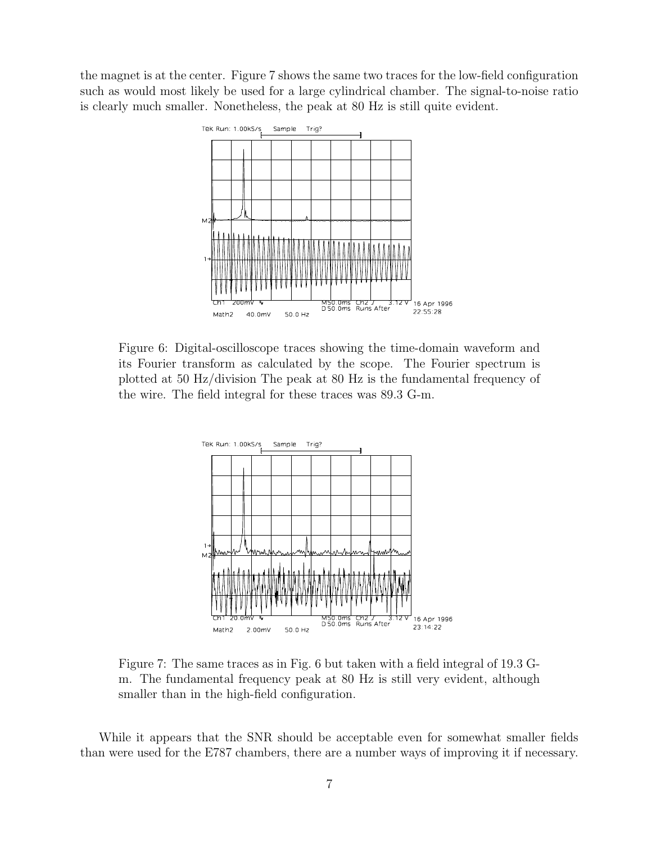the magnet is at the center. Figure 7 shows the same two traces for the low-field configuration such as would most likely be used for a large cylindrical chamber. The signal-to-noise ratio is clearly much smaller. Nonetheless, the peak at 80 Hz is still quite evident.



Figure 6: Digital-oscilloscope traces showing the time-domain waveform and its Fourier transform as calculated by the scope. The Fourier spectrum is plotted at 50 Hz/division The peak at 80 Hz is the fundamental frequency of the wire. The field integral for these traces was 89.3 G-m.



Figure 7: The same traces as in Fig. 6 but taken with a field integral of 19.3 Gm. The fundamental frequency peak at 80 Hz is still very evident, although smaller than in the high-field configuration.

While it appears that the SNR should be acceptable even for somewhat smaller fields than were used for the E787 chambers, there are a number ways of improving it if necessary.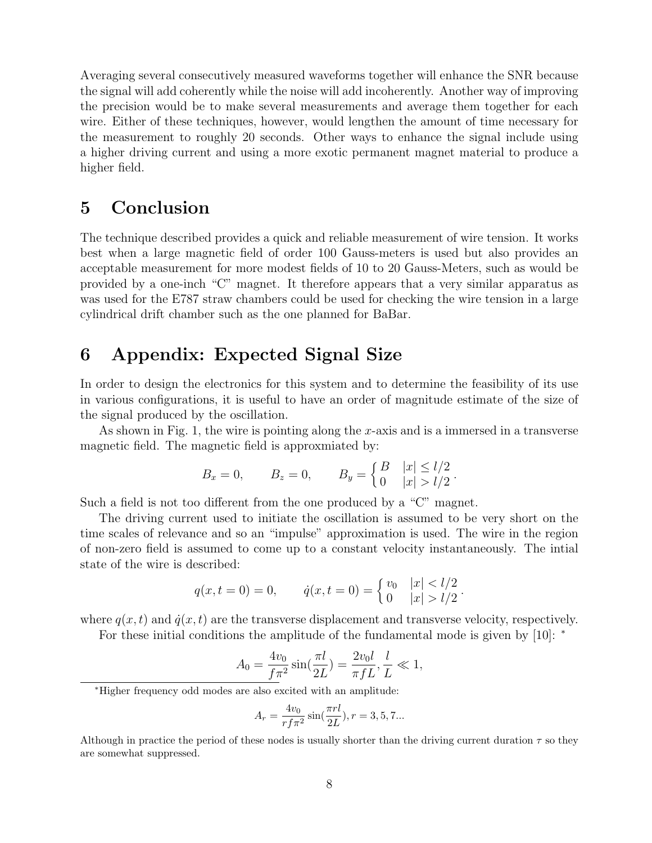Averaging several consecutively measured waveforms together will enhance the SNR because the signal will add coherently while the noise will add incoherently. Another way of improving the precision would be to make several measurements and average them together for each wire. Either of these techniques, however, would lengthen the amount of time necessary for the measurement to roughly 20 seconds. Other ways to enhance the signal include using a higher driving current and using a more exotic permanent magnet material to produce a higher field.

# 5 Conclusion

The technique described provides a quick and reliable measurement of wire tension. It works best when a large magnetic field of order 100 Gauss-meters is used but also provides an acceptable measurement for more modest fields of 10 to 20 Gauss-Meters, such as would be provided by a one-inch "C" magnet. It therefore appears that a very similar apparatus as was used for the E787 straw chambers could be used for checking the wire tension in a large cylindrical drift chamber such as the one planned for BaBar.

# 6 Appendix: Expected Signal Size

In order to design the electronics for this system and to determine the feasibility of its use in various configurations, it is useful to have an order of magnitude estimate of the size of the signal produced by the oscillation.

As shown in Fig. 1, the wire is pointing along the  $x$ -axis and is a immersed in a transverse magnetic field. The magnetic field is approxmiated by:

$$
B_x = 0,
$$
  $B_z = 0,$   $B_y = \begin{cases} B & |x| \le l/2 \\ 0 & |x| > l/2 \end{cases}.$ 

Such a field is not too different from the one produced by a "C" magnet.

The driving current used to initiate the oscillation is assumed to be very short on the time scales of relevance and so an "impulse" approximation is used. The wire in the region of non-zero field is assumed to come up to a constant velocity instantaneously. The intial state of the wire is described:

$$
q(x,t=0) = 0, \qquad \dot{q}(x,t=0) = \begin{cases} v_0 & |x| < l/2 \\ 0 & |x| > l/2 \end{cases}.
$$

where  $q(x, t)$  and  $\dot{q}(x, t)$  are the transverse displacement and transverse velocity, respectively.

For these initial conditions the amplitude of the fundamental mode is given by [10]: <sup>∗</sup>

$$
A_0 = \frac{4v_0}{f\pi^2} \sin(\frac{\pi l}{2L}) = \frac{2v_0 l}{\pi f L}, \frac{l}{L} \ll 1,
$$

$$
A_r = \frac{4v_0}{rf\pi^2} \sin(\frac{\pi rl}{2L}), r = 3, 5, 7...
$$

<sup>∗</sup>Higher frequency odd modes are also excited with an amplitude:

Although in practice the period of these nodes is usually shorter than the driving current duration  $\tau$  so they are somewhat suppressed.